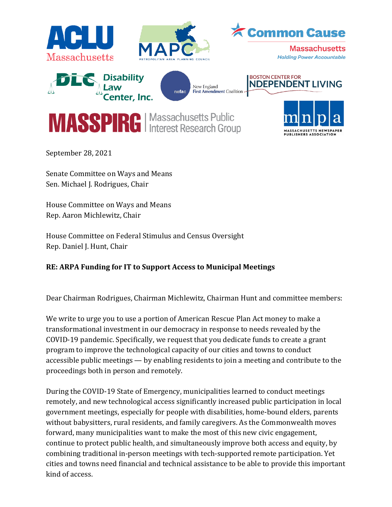

September 28, 2021

Senate Committee on Ways and Means Sen. Michael J. Rodrigues, Chair

House Committee on Ways and Means Rep. Aaron Michlewitz, Chair

House Committee on Federal Stimulus and Census Oversight Rep. Daniel J. Hunt, Chair

## **RE: ARPA Funding for IT to Support Access to Municipal Meetings**

Dear Chairman Rodrigues, Chairman Michlewitz, Chairman Hunt and committee members:

We write to urge you to use a portion of American Rescue Plan Act money to make a transformational investment in our democracy in response to needs revealed by the COVID-19 pandemic. Specifically, we request that you dedicate funds to create a grant program to improve the technological capacity of our cities and towns to conduct accessible public meetings — by enabling residents to join a meeting and contribute to the proceedings both in person and remotely.

During the COVID-19 State of Emergency, municipalities learned to conduct meetings remotely, and new technological access significantly increased public participation in local government meetings, especially for people with disabilities, home-bound elders, parents without babysitters, rural residents, and family caregivers. As the Commonwealth moves forward, many municipalities want to make the most of this new civic engagement, continue to protect public health, and simultaneously improve both access and equity, by combining traditional in-person meetings with tech-supported remote participation. Yet cities and towns need financial and technical assistance to be able to provide this important kind of access.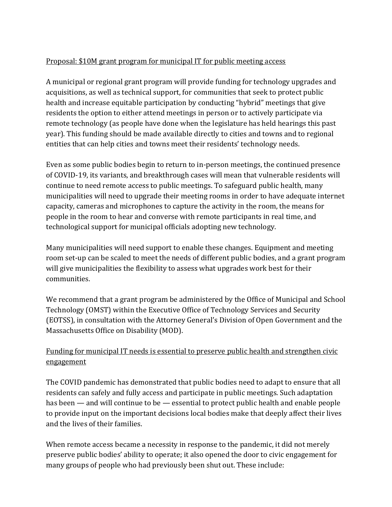## Proposal: \$10M grant program for municipal IT for public meeting access

A municipal or regional grant program will provide funding for technology upgrades and acquisitions, as well as technical support, for communities that seek to protect public health and increase equitable participation by conducting "hybrid" meetings that give residents the option to either attend meetings in person or to actively participate via remote technology (as people have done when the legislature has held hearings this past year). This funding should be made available directly to cities and towns and to regional entities that can help cities and towns meet their residents' technology needs.

Even as some public bodies begin to return to in-person meetings, the continued presence of COVID-19, its variants, and breakthrough cases will mean that vulnerable residents will continue to need remote access to public meetings. To safeguard public health, many municipalities will need to upgrade their meeting rooms in order to have adequate internet capacity, cameras and microphones to capture the activity in the room, the means for people in the room to hear and converse with remote participants in real time, and technological support for municipal officials adopting new technology.

Many municipalities will need support to enable these changes. Equipment and meeting room set-up can be scaled to meet the needs of different public bodies, and a grant program will give municipalities the flexibility to assess what upgrades work best for their communities.

We recommend that a grant program be administered by the Office of Municipal and School Technology (OMST) within the Executive Office of Technology Services and Security (EOTSS), in consultation with the Attorney General's Division of Open Government and the Massachusetts Office on Disability (MOD).

## Funding for municipal IT needs is essential to preserve public health and strengthen civic engagement

The COVID pandemic has demonstrated that public bodies need to adapt to ensure that all residents can safely and fully access and participate in public meetings. Such adaptation has been — and will continue to be — essential to protect public health and enable people to provide input on the important decisions local bodies make that deeply affect their lives and the lives of their families.

When remote access became a necessity in response to the pandemic, it did not merely preserve public bodies' ability to operate; it also opened the door to civic engagement for many groups of people who had previously been shut out. These include: